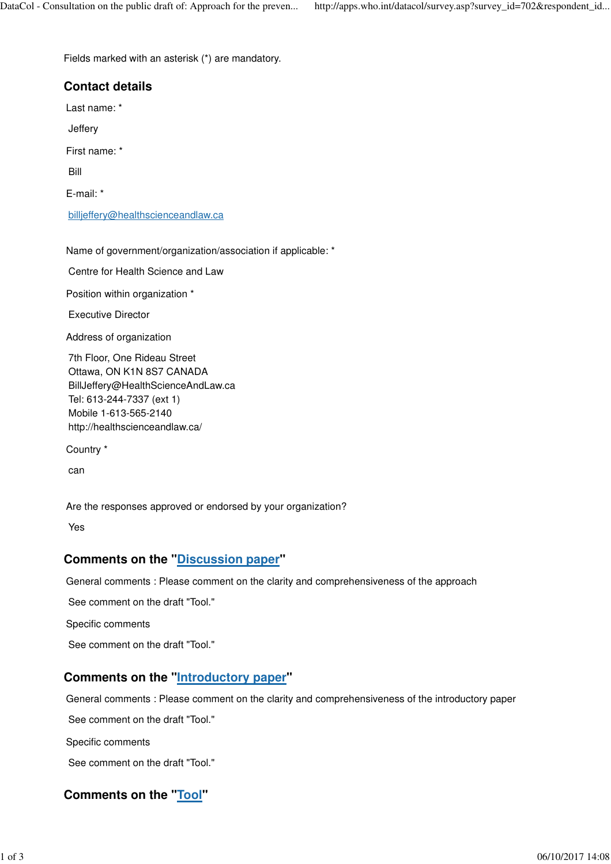Fields marked with an asterisk (\*) are mandatory.

# **Contact details** Last name: \* Jeffery First name: \* Bill E-mail: \* billjeffery@healthscienceandlaw.ca

Name of government/organization/association if applicable: \*

Centre for Health Science and Law

Position within organization \*

Executive Director

Address of organization

7th Floor, One Rideau Street Ottawa, ON K1N 8S7 CANADA BillJeffery@HealthScienceAndLaw.ca Tel: 613-244-7337 (ext 1) Mobile 1-613-565-2140 http://healthscienceandlaw.ca/

Country \*

can

Are the responses approved or endorsed by your organization?

Yes

#### **Comments on the "Discussion paper"**

General comments : Please comment on the clarity and comprehensiveness of the approach

See comment on the draft "Tool."

Specific comments

See comment on the draft "Tool."

## **Comments on the "Introductory paper"**

General comments : Please comment on the clarity and comprehensiveness of the introductory paper

See comment on the draft "Tool."

Specific comments

See comment on the draft "Tool."

## **Comments on the "Tool"**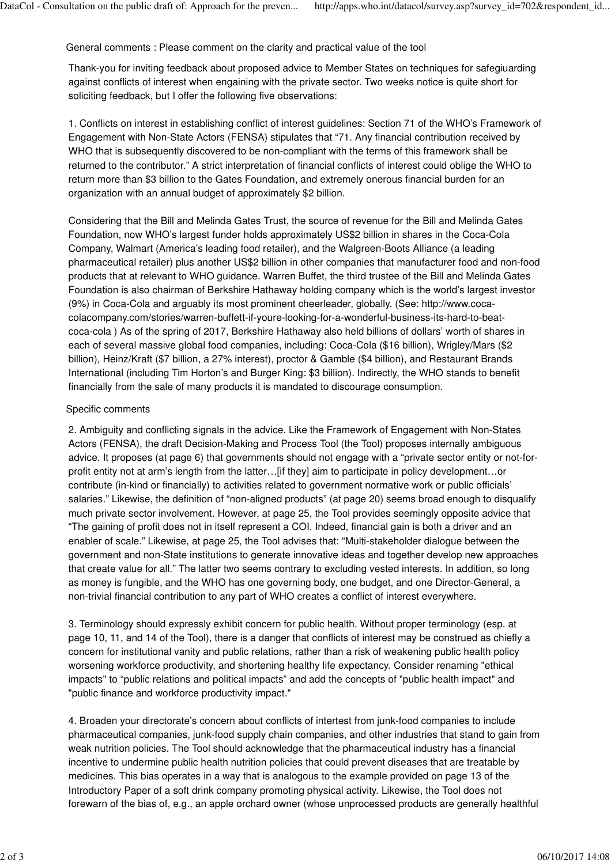General comments : Please comment on the clarity and practical value of the tool

Thank-you for inviting feedback about proposed advice to Member States on techniques for safegiuarding against conflicts of interest when engaining with the private sector. Two weeks notice is quite short for soliciting feedback, but I offer the following five observations:

1. Conflicts on interest in establishing conflict of interest guidelines: Section 71 of the WHO's Framework of Engagement with Non-State Actors (FENSA) stipulates that "71. Any financial contribution received by WHO that is subsequently discovered to be non-compliant with the terms of this framework shall be returned to the contributor." A strict interpretation of financial conflicts of interest could oblige the WHO to return more than \$3 billion to the Gates Foundation, and extremely onerous financial burden for an organization with an annual budget of approximately \$2 billion.

Considering that the Bill and Melinda Gates Trust, the source of revenue for the Bill and Melinda Gates Foundation, now WHO's largest funder holds approximately US\$2 billion in shares in the Coca-Cola Company, Walmart (America's leading food retailer), and the Walgreen-Boots Alliance (a leading pharmaceutical retailer) plus another US\$2 billion in other companies that manufacturer food and non-food products that at relevant to WHO guidance. Warren Buffet, the third trustee of the Bill and Melinda Gates Foundation is also chairman of Berkshire Hathaway holding company which is the world's largest investor (9%) in Coca-Cola and arguably its most prominent cheerleader, globally. (See: http://www.cocacolacompany.com/stories/warren-buffett-if-youre-looking-for-a-wonderful-business-its-hard-to-beatcoca-cola ) As of the spring of 2017, Berkshire Hathaway also held billions of dollars' worth of shares in each of several massive global food companies, including: Coca-Cola (\$16 billion), Wrigley/Mars (\$2 billion), Heinz/Kraft (\$7 billion, a 27% interest), proctor & Gamble (\$4 billion), and Restaurant Brands International (including Tim Horton's and Burger King: \$3 billion). Indirectly, the WHO stands to benefit financially from the sale of many products it is mandated to discourage consumption.

#### Specific comments

2. Ambiguity and conflicting signals in the advice. Like the Framework of Engagement with Non-States Actors (FENSA), the draft Decision-Making and Process Tool (the Tool) proposes internally ambiguous advice. It proposes (at page 6) that governments should not engage with a "private sector entity or not-forprofit entity not at arm's length from the latter…[if they] aim to participate in policy development…or contribute (in-kind or financially) to activities related to government normative work or public officials' salaries." Likewise, the definition of "non-aligned products" (at page 20) seems broad enough to disqualify much private sector involvement. However, at page 25, the Tool provides seemingly opposite advice that "The gaining of profit does not in itself represent a COI. Indeed, financial gain is both a driver and an enabler of scale." Likewise, at page 25, the Tool advises that: "Multi-stakeholder dialogue between the government and non-State institutions to generate innovative ideas and together develop new approaches that create value for all." The latter two seems contrary to excluding vested interests. In addition, so long as money is fungible, and the WHO has one governing body, one budget, and one Director-General, a non-trivial financial contribution to any part of WHO creates a conflict of interest everywhere.

3. Terminology should expressly exhibit concern for public health. Without proper terminology (esp. at page 10, 11, and 14 of the Tool), there is a danger that conflicts of interest may be construed as chiefly a concern for institutional vanity and public relations, rather than a risk of weakening public health policy worsening workforce productivity, and shortening healthy life expectancy. Consider renaming "ethical impacts" to "public relations and political impacts" and add the concepts of "public health impact" and "public finance and workforce productivity impact."

4. Broaden your directorate's concern about conflicts of intertest from junk-food companies to include pharmaceutical companies, junk-food supply chain companies, and other industries that stand to gain from weak nutrition policies. The Tool should acknowledge that the pharmaceutical industry has a financial incentive to undermine public health nutrition policies that could prevent diseases that are treatable by medicines. This bias operates in a way that is analogous to the example provided on page 13 of the Introductory Paper of a soft drink company promoting physical activity. Likewise, the Tool does not forewarn of the bias of, e.g., an apple orchard owner (whose unprocessed products are generally healthful